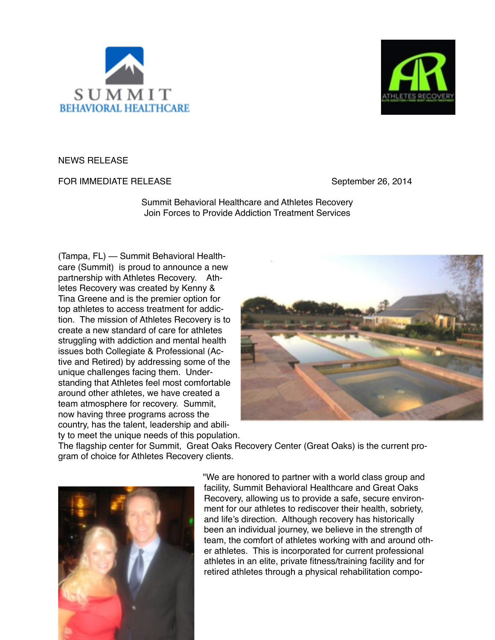



NEWS RELEASE

FOR IMMEDIATE RELEASE **INVERSE 1999** September 26, 2014

Summit Behavioral Healthcare and Athletes Recovery Join Forces to Provide Addiction Treatment Services

(Tampa, FL) — Summit Behavioral Healthcare (Summit) is proud to announce a new partnership with Athletes Recovery. Athletes Recovery was created by Kenny & Tina Greene and is the premier option for top athletes to access treatment for addiction. The mission of Athletes Recovery is to create a new standard of care for athletes struggling with addiction and mental health issues both Collegiate & Professional (Active and Retired) by addressing some of the unique challenges facing them. Understanding that Athletes feel most comfortable around other athletes, we have created a team atmosphere for recovery. Summit, now having three programs across the country, has the talent, leadership and ability to meet the unique needs of this population.



The flagship center for Summit, Great Oaks Recovery Center (Great Oaks) is the current program of choice for Athletes Recovery clients.



"We are honored to partner with a world class group and facility, Summit Behavioral Healthcare and Great Oaks Recovery, allowing us to provide a safe, secure environment for our athletes to rediscover their health, sobriety, and life's direction. Although recovery has historically been an individual journey, we believe in the strength of team, the comfort of athletes working with and around other athletes. This is incorporated for current professional athletes in an elite, private fitness/training facility and for retired athletes through a physical rehabilitation compo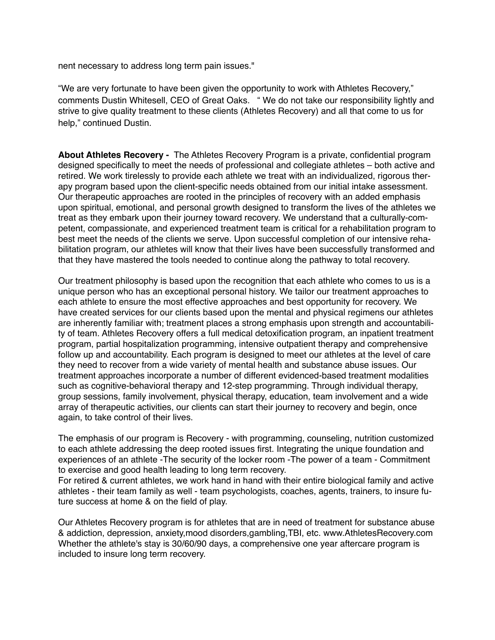nent necessary to address long term pain issues."

"We are very fortunate to have been given the opportunity to work with Athletes Recovery," comments Dustin Whitesell, CEO of Great Oaks. " We do not take our responsibility lightly and strive to give quality treatment to these clients (Athletes Recovery) and all that come to us for help," continued Dustin.

**About Athletes Recovery -** The Athletes Recovery Program is a private, confidential program designed specifically to meet the needs of professional and collegiate athletes – both active and retired. We work tirelessly to provide each athlete we treat with an individualized, rigorous therapy program based upon the client-specific needs obtained from our initial intake assessment. Our therapeutic approaches are rooted in the principles of recovery with an added emphasis upon spiritual, emotional, and personal growth designed to transform the lives of the athletes we treat as they embark upon their journey toward recovery. We understand that a culturally-competent, compassionate, and experienced treatment team is critical for a rehabilitation program to best meet the needs of the clients we serve. Upon successful completion of our intensive rehabilitation program, our athletes will know that their lives have been successfully transformed and that they have mastered the tools needed to continue along the pathway to total recovery.

Our treatment philosophy is based upon the recognition that each athlete who comes to us is a unique person who has an exceptional personal history. We tailor our treatment approaches to each athlete to ensure the most effective approaches and best opportunity for recovery. We have created services for our clients based upon the mental and physical regimens our athletes are inherently familiar with; treatment places a strong emphasis upon strength and accountability of team. Athletes Recovery offers a full medical detoxification program, an inpatient treatment program, partial hospitalization programming, intensive outpatient therapy and comprehensive follow up and accountability. Each program is designed to meet our athletes at the level of care they need to recover from a wide variety of mental health and substance abuse issues. Our treatment approaches incorporate a number of different evidenced-based treatment modalities such as cognitive-behavioral therapy and 12-step programming. Through individual therapy, group sessions, family involvement, physical therapy, education, team involvement and a wide array of therapeutic activities, our clients can start their journey to recovery and begin, once again, to take control of their lives.

The emphasis of our program is Recovery - with programming, counseling, nutrition customized to each athlete addressing the deep rooted issues first. Integrating the unique foundation and experiences of an athlete -The security of the locker room -The power of a team - Commitment to exercise and good health leading to long term recovery.

For retired & current athletes, we work hand in hand with their entire biological family and active athletes - their team family as well - team psychologists, coaches, agents, trainers, to insure future success at home & on the field of play.

Our Athletes Recovery program is for athletes that are in need of treatment for substance abuse & addiction, depression, anxiety,mood disorders,gambling,TBI, etc. www.AthletesRecovery.com Whether the athlete's stay is 30/60/90 days, a comprehensive one year aftercare program is included to insure long term recovery.